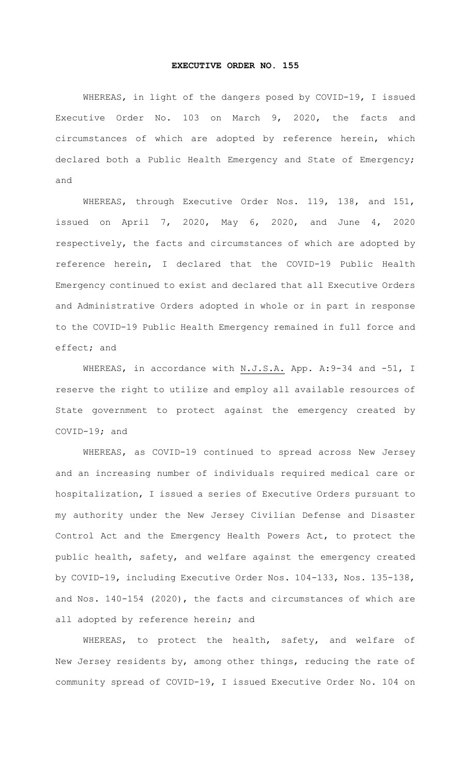## **EXECUTIVE ORDER NO. 155**

WHEREAS, in light of the dangers posed by COVID-19, I issued Executive Order No. 103 on March 9, 2020, the facts and circumstances of which are adopted by reference herein, which declared both a Public Health Emergency and State of Emergency; and

WHEREAS, through Executive Order Nos. 119, 138, and 151, issued on April 7, 2020, May 6, 2020, and June 4, 2020 respectively, the facts and circumstances of which are adopted by reference herein, I declared that the COVID-19 Public Health Emergency continued to exist and declared that all Executive Orders and Administrative Orders adopted in whole or in part in response to the COVID-19 Public Health Emergency remained in full force and effect; and

WHEREAS, in accordance with N.J.S.A. App. A: 9-34 and -51, I reserve the right to utilize and employ all available resources of State government to protect against the emergency created by COVID-19; and

WHEREAS, as COVID-19 continued to spread across New Jersey and an increasing number of individuals required medical care or hospitalization, I issued a series of Executive Orders pursuant to my authority under the New Jersey Civilian Defense and Disaster Control Act and the Emergency Health Powers Act, to protect the public health, safety, and welfare against the emergency created by COVID-19, including Executive Order Nos. 104-133, Nos. 135-138, and Nos. 140-154 (2020), the facts and circumstances of which are all adopted by reference herein; and

WHEREAS, to protect the health, safety, and welfare of New Jersey residents by, among other things, reducing the rate of community spread of COVID-19, I issued Executive Order No. 104 on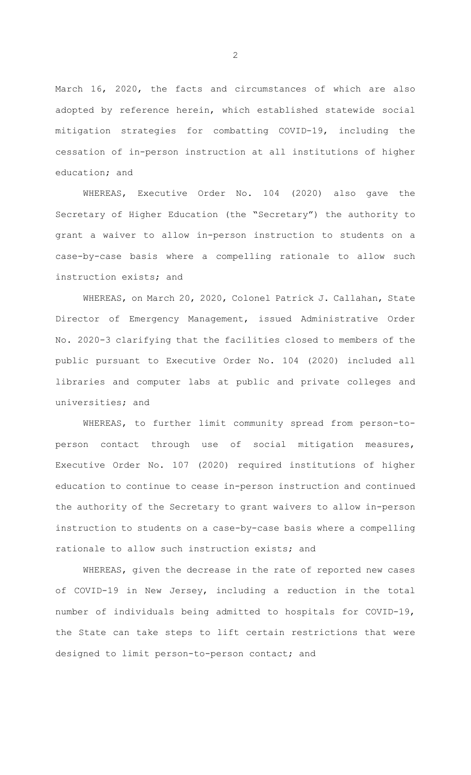March 16, 2020, the facts and circumstances of which are also adopted by reference herein, which established statewide social mitigation strategies for combatting COVID-19, including the cessation of in-person instruction at all institutions of higher education; and

WHEREAS, Executive Order No. 104 (2020) also gave the Secretary of Higher Education (the "Secretary") the authority to grant a waiver to allow in-person instruction to students on a case-by-case basis where a compelling rationale to allow such instruction exists; and

WHEREAS, on March 20, 2020, Colonel Patrick J. Callahan, State Director of Emergency Management, issued Administrative Order No. 2020-3 clarifying that the facilities closed to members of the public pursuant to Executive Order No. 104 (2020) included all libraries and computer labs at public and private colleges and universities; and

WHEREAS, to further limit community spread from person-toperson contact through use of social mitigation measures, Executive Order No. 107 (2020) required institutions of higher education to continue to cease in-person instruction and continued the authority of the Secretary to grant waivers to allow in-person instruction to students on a case-by-case basis where a compelling rationale to allow such instruction exists; and

WHEREAS, given the decrease in the rate of reported new cases of COVID-19 in New Jersey, including a reduction in the total number of individuals being admitted to hospitals for COVID-19, the State can take steps to lift certain restrictions that were designed to limit person-to-person contact; and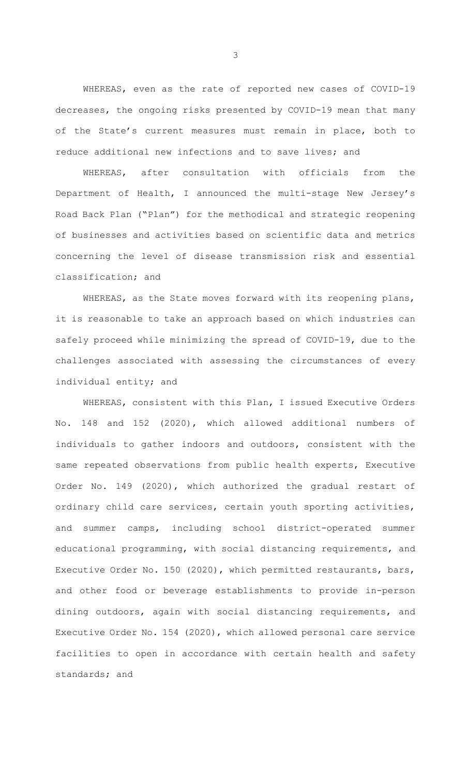WHEREAS, even as the rate of reported new cases of COVID-19 decreases, the ongoing risks presented by COVID-19 mean that many of the State's current measures must remain in place, both to reduce additional new infections and to save lives; and

WHEREAS, after consultation with officials from the Department of Health, I announced the multi-stage New Jersey's Road Back Plan ("Plan") for the methodical and strategic reopening of businesses and activities based on scientific data and metrics concerning the level of disease transmission risk and essential classification; and

WHEREAS, as the State moves forward with its reopening plans, it is reasonable to take an approach based on which industries can safely proceed while minimizing the spread of COVID-19, due to the challenges associated with assessing the circumstances of every individual entity; and

WHEREAS, consistent with this Plan, I issued Executive Orders No. 148 and 152 (2020), which allowed additional numbers of individuals to gather indoors and outdoors, consistent with the same repeated observations from public health experts, Executive Order No. 149 (2020), which authorized the gradual restart of ordinary child care services, certain youth sporting activities, and summer camps, including school district-operated summer educational programming, with social distancing requirements, and Executive Order No. 150 (2020), which permitted restaurants, bars, and other food or beverage establishments to provide in-person dining outdoors, again with social distancing requirements, and Executive Order No. 154 (2020), which allowed personal care service facilities to open in accordance with certain health and safety standards; and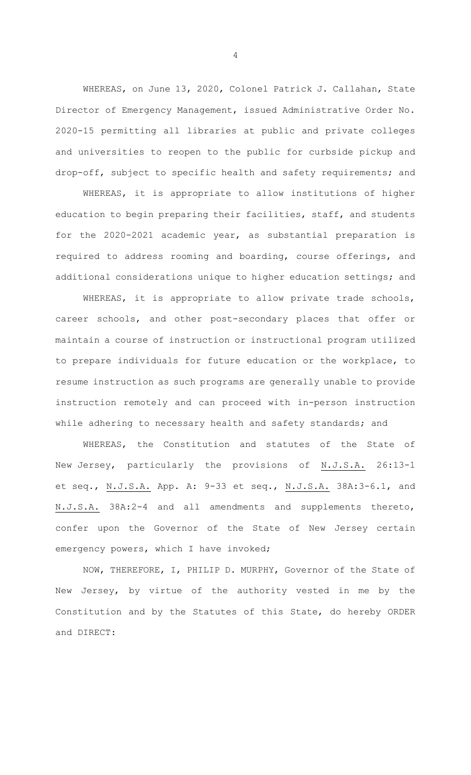WHEREAS, on June 13, 2020, Colonel Patrick J. Callahan, State Director of Emergency Management, issued Administrative Order No. 2020-15 permitting all libraries at public and private colleges and universities to reopen to the public for curbside pickup and drop-off, subject to specific health and safety requirements; and

WHEREAS, it is appropriate to allow institutions of higher education to begin preparing their facilities, staff, and students for the 2020-2021 academic year, as substantial preparation is required to address rooming and boarding, course offerings, and additional considerations unique to higher education settings; and

WHEREAS, it is appropriate to allow private trade schools, career schools, and other post-secondary places that offer or maintain a course of instruction or instructional program utilized to prepare individuals for future education or the workplace, to resume instruction as such programs are generally unable to provide instruction remotely and can proceed with in-person instruction while adhering to necessary health and safety standards; and

WHEREAS, the Constitution and statutes of the State of New Jersey, particularly the provisions of N.J.S.A. 26:13-1 et seq., N.J.S.A. App. A: 9-33 et seq., N.J.S.A. 38A:3-6.1, and N.J.S.A. 38A:2-4 and all amendments and supplements thereto, confer upon the Governor of the State of New Jersey certain emergency powers, which I have invoked;

NOW, THEREFORE, I, PHILIP D. MURPHY, Governor of the State of New Jersey, by virtue of the authority vested in me by the Constitution and by the Statutes of this State, do hereby ORDER and DIRECT: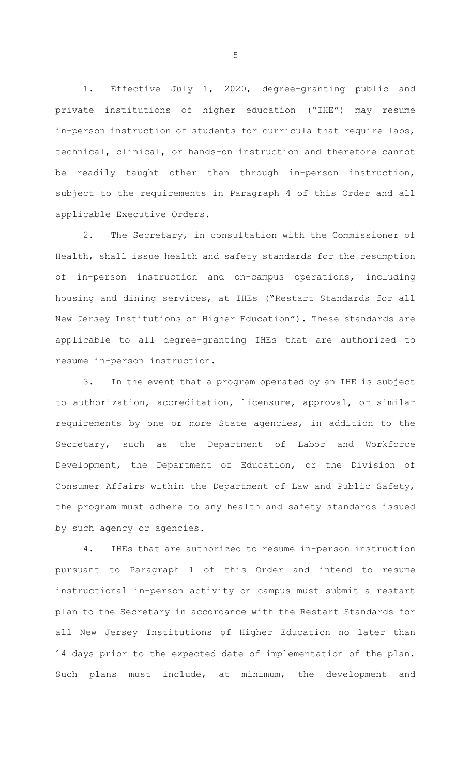1. Effective July 1, 2020, degree-granting public and private institutions of higher education ("IHE") may resume in-person instruction of students for curricula that require labs, technical, clinical, or hands-on instruction and therefore cannot be readily taught other than through in-person instruction, subject to the requirements in Paragraph 4 of this Order and all applicable Executive Orders.

2. The Secretary, in consultation with the Commissioner of Health, shall issue health and safety standards for the resumption of in-person instruction and on-campus operations, including housing and dining services, at IHEs ("Restart Standards for all New Jersey Institutions of Higher Education"). These standards are applicable to all degree-granting IHEs that are authorized to resume in-person instruction.

3. In the event that a program operated by an IHE is subject to authorization, accreditation, licensure, approval, or similar requirements by one or more State agencies, in addition to the Secretary, such as the Department of Labor and Workforce Development, the Department of Education, or the Division of Consumer Affairs within the Department of Law and Public Safety, the program must adhere to any health and safety standards issued by such agency or agencies.

4. IHEs that are authorized to resume in-person instruction pursuant to Paragraph 1 of this Order and intend to resume instructional in-person activity on campus must submit a restart plan to the Secretary in accordance with the Restart Standards for all New Jersey Institutions of Higher Education no later than 14 days prior to the expected date of implementation of the plan. Such plans must include, at minimum, the development and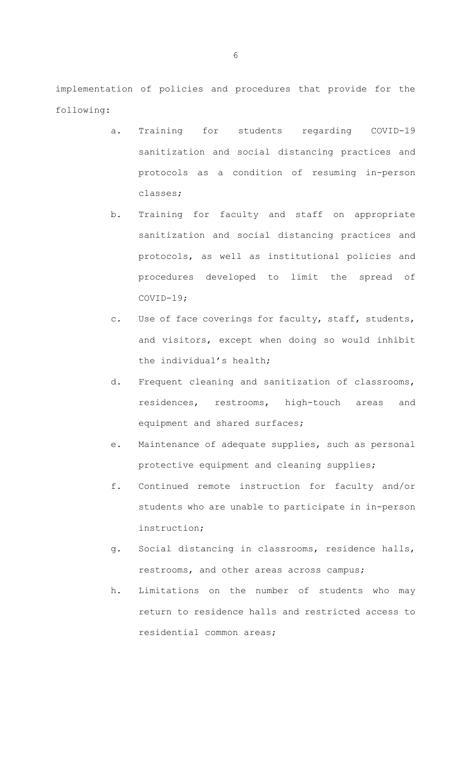implementation of policies and procedures that provide for the following:

- a. Training for students regarding COVID-19 sanitization and social distancing practices and protocols as a condition of resuming in-person classes;
- b. Training for faculty and staff on appropriate sanitization and social distancing practices and protocols, as well as institutional policies and procedures developed to limit the spread of COVID-19;
- c. Use of face coverings for faculty, staff, students, and visitors, except when doing so would inhibit the individual's health;
- d. Frequent cleaning and sanitization of classrooms, residences, restrooms, high-touch areas and equipment and shared surfaces;
- e. Maintenance of adequate supplies, such as personal protective equipment and cleaning supplies;
- f. Continued remote instruction for faculty and/or students who are unable to participate in in-person instruction;
- g. Social distancing in classrooms, residence halls, restrooms, and other areas across campus;
- h. Limitations on the number of students who may return to residence halls and restricted access to residential common areas;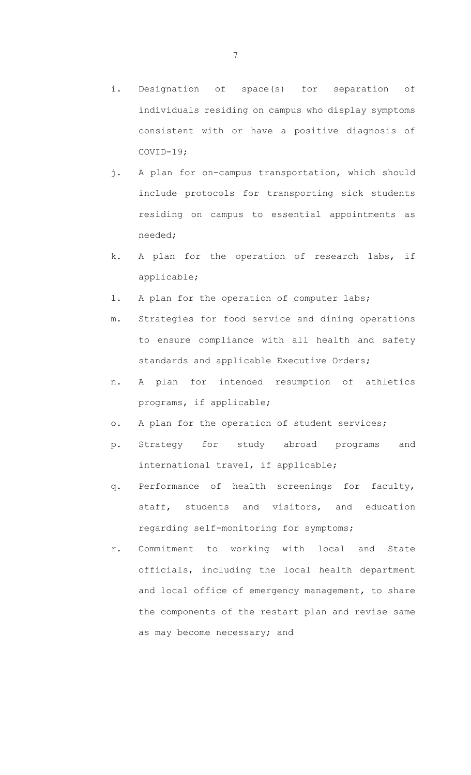- i. Designation of space(s) for separation of individuals residing on campus who display symptoms consistent with or have a positive diagnosis of COVID-19;
- j. A plan for on-campus transportation, which should include protocols for transporting sick students residing on campus to essential appointments as needed;
- k. A plan for the operation of research labs, if applicable;
- l. A plan for the operation of computer labs;
- m. Strategies for food service and dining operations to ensure compliance with all health and safety standards and applicable Executive Orders;
- n. A plan for intended resumption of athletics programs, if applicable;
- o. A plan for the operation of student services;
- p. Strategy for study abroad programs and international travel, if applicable;
- q. Performance of health screenings for faculty, staff, students and visitors, and education regarding self-monitoring for symptoms;
- r. Commitment to working with local and State officials, including the local health department and local office of emergency management, to share the components of the restart plan and revise same as may become necessary; and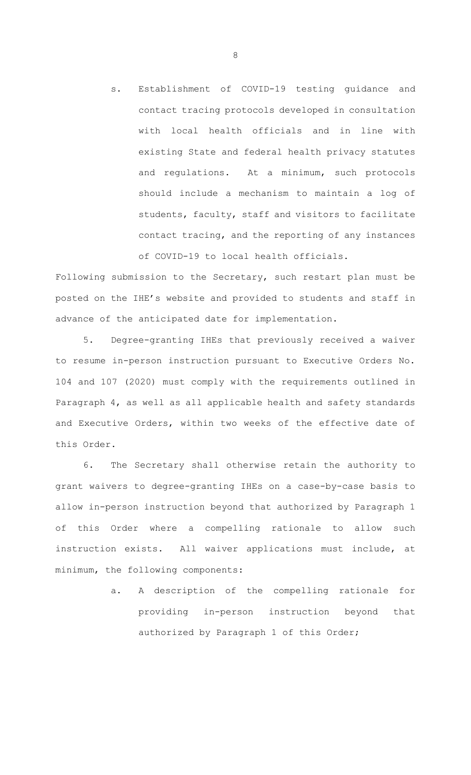s. Establishment of COVID-19 testing guidance and contact tracing protocols developed in consultation with local health officials and in line with existing State and federal health privacy statutes and regulations. At a minimum, such protocols should include a mechanism to maintain a log of students, faculty, staff and visitors to facilitate contact tracing, and the reporting of any instances of COVID-19 to local health officials.

Following submission to the Secretary, such restart plan must be posted on the IHE's website and provided to students and staff in advance of the anticipated date for implementation.

5. Degree-granting IHEs that previously received a waiver to resume in-person instruction pursuant to Executive Orders No. 104 and 107 (2020) must comply with the requirements outlined in Paragraph 4, as well as all applicable health and safety standards and Executive Orders, within two weeks of the effective date of this Order.

6. The Secretary shall otherwise retain the authority to grant waivers to degree-granting IHEs on a case-by-case basis to allow in-person instruction beyond that authorized by Paragraph 1 of this Order where a compelling rationale to allow such instruction exists. All waiver applications must include, at minimum, the following components:

> a. A description of the compelling rationale for providing in-person instruction beyond that authorized by Paragraph 1 of this Order;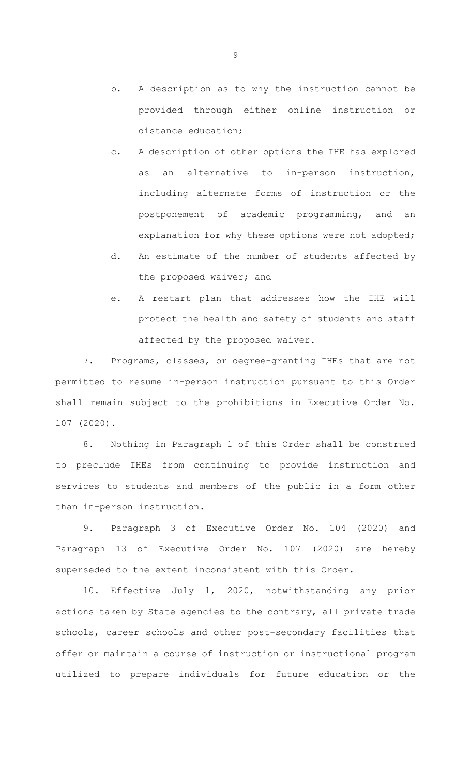- b. A description as to why the instruction cannot be provided through either online instruction or distance education;
- c. A description of other options the IHE has explored as an alternative to in-person instruction, including alternate forms of instruction or the postponement of academic programming, and an explanation for why these options were not adopted;
- d. An estimate of the number of students affected by the proposed waiver; and
- e. A restart plan that addresses how the IHE will protect the health and safety of students and staff affected by the proposed waiver.

7. Programs, classes, or degree-granting IHEs that are not permitted to resume in-person instruction pursuant to this Order shall remain subject to the prohibitions in Executive Order No. 107 (2020).

8. Nothing in Paragraph 1 of this Order shall be construed to preclude IHEs from continuing to provide instruction and services to students and members of the public in a form other than in-person instruction.

9. Paragraph 3 of Executive Order No. 104 (2020) and Paragraph 13 of Executive Order No. 107 (2020) are hereby superseded to the extent inconsistent with this Order.

10. Effective July 1, 2020, notwithstanding any prior actions taken by State agencies to the contrary, all private trade schools, career schools and other post-secondary facilities that offer or maintain a course of instruction or instructional program utilized to prepare individuals for future education or the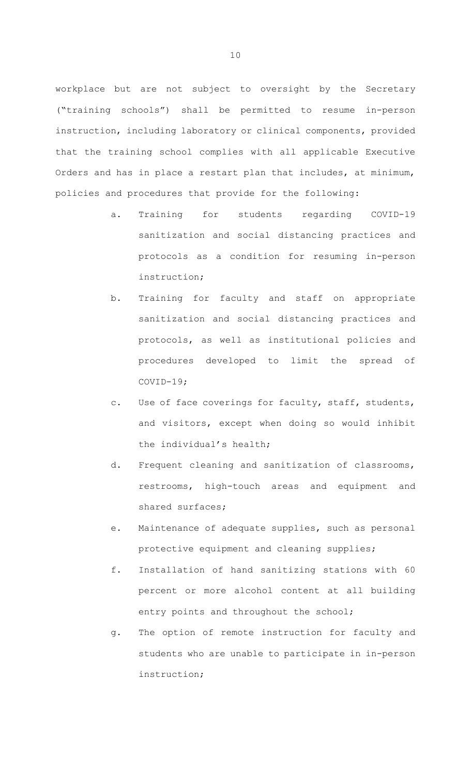workplace but are not subject to oversight by the Secretary ("training schools") shall be permitted to resume in-person instruction, including laboratory or clinical components, provided that the training school complies with all applicable Executive Orders and has in place a restart plan that includes, at minimum, policies and procedures that provide for the following:

- a. Training for students regarding COVID-19 sanitization and social distancing practices and protocols as a condition for resuming in-person instruction;
- b. Training for faculty and staff on appropriate sanitization and social distancing practices and protocols, as well as institutional policies and procedures developed to limit the spread of COVID-19;
- c. Use of face coverings for faculty, staff, students, and visitors, except when doing so would inhibit the individual's health;
- d. Frequent cleaning and sanitization of classrooms, restrooms, high-touch areas and equipment and shared surfaces;
- e. Maintenance of adequate supplies, such as personal protective equipment and cleaning supplies;
- f. Installation of hand sanitizing stations with 60 percent or more alcohol content at all building entry points and throughout the school;
- g. The option of remote instruction for faculty and students who are unable to participate in in-person instruction;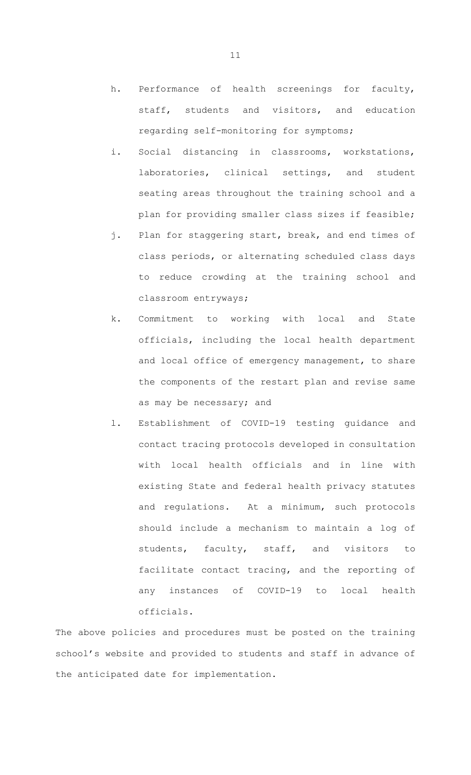- h. Performance of health screenings for faculty, staff, students and visitors, and education regarding self-monitoring for symptoms;
- i. Social distancing in classrooms, workstations, laboratories, clinical settings, and student seating areas throughout the training school and a plan for providing smaller class sizes if feasible;
- j. Plan for staggering start, break, and end times of class periods, or alternating scheduled class days to reduce crowding at the training school and classroom entryways;
- k. Commitment to working with local and State officials, including the local health department and local office of emergency management, to share the components of the restart plan and revise same as may be necessary; and
- l. Establishment of COVID-19 testing guidance and contact tracing protocols developed in consultation with local health officials and in line with existing State and federal health privacy statutes and regulations. At a minimum, such protocols should include a mechanism to maintain a log of students, faculty, staff, and visitors to facilitate contact tracing, and the reporting of any instances of COVID-19 to local health officials.

The above policies and procedures must be posted on the training school's website and provided to students and staff in advance of the anticipated date for implementation.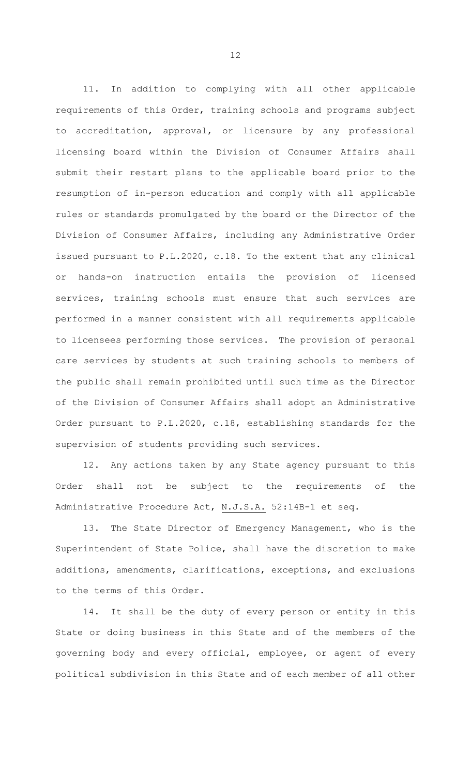11. In addition to complying with all other applicable requirements of this Order, training schools and programs subject to accreditation, approval, or licensure by any professional licensing board within the Division of Consumer Affairs shall submit their restart plans to the applicable board prior to the resumption of in-person education and comply with all applicable rules or standards promulgated by the board or the Director of the Division of Consumer Affairs, including any Administrative Order issued pursuant to P.L.2020, c.18. To the extent that any clinical or hands-on instruction entails the provision of licensed services, training schools must ensure that such services are performed in a manner consistent with all requirements applicable to licensees performing those services. The provision of personal care services by students at such training schools to members of the public shall remain prohibited until such time as the Director of the Division of Consumer Affairs shall adopt an Administrative Order pursuant to P.L.2020, c.18, establishing standards for the supervision of students providing such services.

12. Any actions taken by any State agency pursuant to this Order shall not be subject to the requirements of the Administrative Procedure Act, N.J.S.A. 52:14B-1 et seq.

13. The State Director of Emergency Management, who is the Superintendent of State Police, shall have the discretion to make additions, amendments, clarifications, exceptions, and exclusions to the terms of this Order.

14. It shall be the duty of every person or entity in this State or doing business in this State and of the members of the governing body and every official, employee, or agent of every political subdivision in this State and of each member of all other